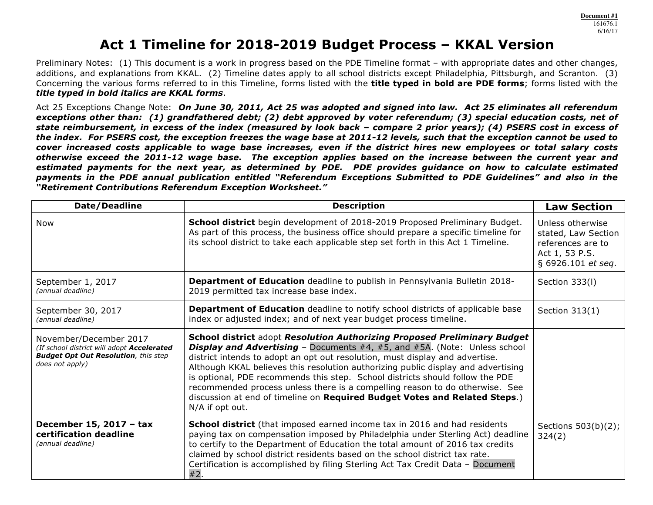# **Act 1 Timeline for 2018-2019 Budget Process – KKAL Version**

Preliminary Notes: (1) This document is a work in progress based on the PDE Timeline format – with appropriate dates and other changes, additions, and explanations from KKAL. (2) Timeline dates apply to all school districts except Philadelphia, Pittsburgh, and Scranton. (3) Concerning the various forms referred to in this Timeline, forms listed with the **title typed in bold are PDE forms**; forms listed with the *title typed in bold italics are KKAL forms*.

Act 25 Exceptions Change Note: *On June 30, 2011, Act 25 was adopted and signed into law. Act 25 eliminates all referendum exceptions other than: (1) grandfathered debt; (2) debt approved by voter referendum; (3) special education costs, net of state reimbursement, in excess of the index (measured by look back – compare 2 prior years); (4) PSERS cost in excess of the index. For PSERS cost, the exception freezes the wage base at 2011-12 levels, such that the exception cannot be used to cover increased costs applicable to wage base increases, even if the district hires new employees or total salary costs otherwise exceed the 2011-12 wage base. The exception applies based on the increase between the current year and*  estimated payments for the next year, as determined by PDE. PDE provides guidance on how to calculate estimated *payments in the PDE annual publication entitled "Referendum Exceptions Submitted to PDE Guidelines" and also in the "Retirement Contributions Referendum Exception Worksheet."* 

| Date/Deadline                                                                                                                          | <b>Description</b>                                                                                                                                                                                                                                                                                                                                                                                                                                                                                                                                                                                         | <b>Law Section</b>                                                                                   |
|----------------------------------------------------------------------------------------------------------------------------------------|------------------------------------------------------------------------------------------------------------------------------------------------------------------------------------------------------------------------------------------------------------------------------------------------------------------------------------------------------------------------------------------------------------------------------------------------------------------------------------------------------------------------------------------------------------------------------------------------------------|------------------------------------------------------------------------------------------------------|
| Now                                                                                                                                    | School district begin development of 2018-2019 Proposed Preliminary Budget.<br>As part of this process, the business office should prepare a specific timeline for<br>its school district to take each applicable step set forth in this Act 1 Timeline.                                                                                                                                                                                                                                                                                                                                                   | Unless otherwise<br>stated, Law Section<br>references are to<br>Act 1, 53 P.S.<br>§ 6926.101 et seq. |
| September 1, 2017<br>(annual deadline)                                                                                                 | Department of Education deadline to publish in Pennsylvania Bulletin 2018-<br>2019 permitted tax increase base index.                                                                                                                                                                                                                                                                                                                                                                                                                                                                                      | Section 333(I)                                                                                       |
| September 30, 2017<br>(annual deadline)                                                                                                | <b>Department of Education</b> deadline to notify school districts of applicable base<br>index or adjusted index; and of next year budget process timeline.                                                                                                                                                                                                                                                                                                                                                                                                                                                | Section 313(1)                                                                                       |
| November/December 2017<br>(If school district will adopt Accelerated<br><b>Budget Opt Out Resolution, this step</b><br>does not apply) | <b>School district adopt Resolution Authorizing Proposed Preliminary Budget</b><br><b>Display and Advertising</b> – Documents #4, #5, and #5A. (Note: Unless school<br>district intends to adopt an opt out resolution, must display and advertise.<br>Although KKAL believes this resolution authorizing public display and advertising<br>is optional, PDE recommends this step. School districts should follow the PDE<br>recommended process unless there is a compelling reason to do otherwise. See<br>discussion at end of timeline on Required Budget Votes and Related Steps.)<br>N/A if opt out. |                                                                                                      |
| December 15, 2017 - tax<br>certification deadline<br>(annual deadline)                                                                 | <b>School district</b> (that imposed earned income tax in 2016 and had residents<br>paying tax on compensation imposed by Philadelphia under Sterling Act) deadline<br>to certify to the Department of Education the total amount of 2016 tax credits<br>claimed by school district residents based on the school district tax rate.<br>Certification is accomplished by filing Sterling Act Tax Credit Data - Document<br>#2.                                                                                                                                                                             | Sections 503(b)(2);<br>324(2)                                                                        |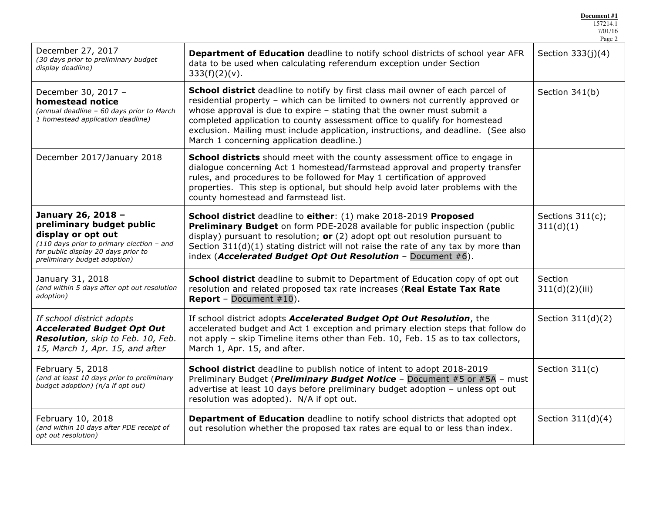|                                                                                                                                                                                             |                                                                                                                                                                                                                                                                                                                                                                                                                                                                       | 7/01/16<br>Page 2                |
|---------------------------------------------------------------------------------------------------------------------------------------------------------------------------------------------|-----------------------------------------------------------------------------------------------------------------------------------------------------------------------------------------------------------------------------------------------------------------------------------------------------------------------------------------------------------------------------------------------------------------------------------------------------------------------|----------------------------------|
| December 27, 2017<br>(30 days prior to preliminary budget<br>display deadline)                                                                                                              | Department of Education deadline to notify school districts of school year AFR<br>data to be used when calculating referendum exception under Section<br>$333(f)(2)(v)$ .                                                                                                                                                                                                                                                                                             | Section $333(j)(4)$              |
| December 30, 2017 -<br>homestead notice<br>(annual deadline - 60 days prior to March<br>1 homestead application deadline)                                                                   | <b>School district</b> deadline to notify by first class mail owner of each parcel of<br>residential property - which can be limited to owners not currently approved or<br>whose approval is due to expire $-$ stating that the owner must submit a<br>completed application to county assessment office to qualify for homestead<br>exclusion. Mailing must include application, instructions, and deadline. (See also<br>March 1 concerning application deadline.) | Section 341(b)                   |
| December 2017/January 2018                                                                                                                                                                  | <b>School districts</b> should meet with the county assessment office to engage in<br>dialogue concerning Act 1 homestead/farmstead approval and property transfer<br>rules, and procedures to be followed for May 1 certification of approved<br>properties. This step is optional, but should help avoid later problems with the<br>county homestead and farmstead list.                                                                                            |                                  |
| January 26, 2018 -<br>preliminary budget public<br>display or opt out<br>$(110$ days prior to primary election - and<br>for public display 20 days prior to<br>preliminary budget adoption) | School district deadline to either: (1) make 2018-2019 Proposed<br>Preliminary Budget on form PDE-2028 available for public inspection (public<br>display) pursuant to resolution; $or(2)$ adopt opt out resolution pursuant to<br>Section 311(d)(1) stating district will not raise the rate of any tax by more than<br>index (Accelerated Budget Opt Out Resolution - Document $#6$ ).                                                                              | Sections $311(c)$ ;<br>311(d)(1) |
| January 31, 2018<br>(and within 5 days after opt out resolution<br>adoption)                                                                                                                | <b>School district</b> deadline to submit to Department of Education copy of opt out<br>resolution and related proposed tax rate increases (Real Estate Tax Rate<br><b>Report</b> - Document $#10$ ).                                                                                                                                                                                                                                                                 | Section<br>311(d)(2)(iii)        |
| If school district adopts<br><b>Accelerated Budget Opt Out</b><br>Resolution, skip to Feb. 10, Feb.<br>15, March 1, Apr. 15, and after                                                      | If school district adopts Accelerated Budget Opt Out Resolution, the<br>accelerated budget and Act 1 exception and primary election steps that follow do<br>not apply - skip Timeline items other than Feb. 10, Feb. 15 as to tax collectors,<br>March 1, Apr. 15, and after.                                                                                                                                                                                         | Section 311(d)(2)                |
| February 5, 2018<br>(and at least 10 days prior to preliminary<br>budget adoption) (n/a if opt out)                                                                                         | School district deadline to publish notice of intent to adopt 2018-2019<br>Preliminary Budget ( <i>Preliminary Budget Notice</i> - Document #5 or #5A - must<br>advertise at least 10 days before preliminary budget adoption - unless opt out<br>resolution was adopted). N/A if opt out.                                                                                                                                                                            | Section 311(c)                   |
| February 10, 2018<br>(and within 10 days after PDE receipt of<br>opt out resolution)                                                                                                        | <b>Department of Education</b> deadline to notify school districts that adopted opt<br>out resolution whether the proposed tax rates are equal to or less than index.                                                                                                                                                                                                                                                                                                 | Section $311(d)(4)$              |

**Document #1** 157214.1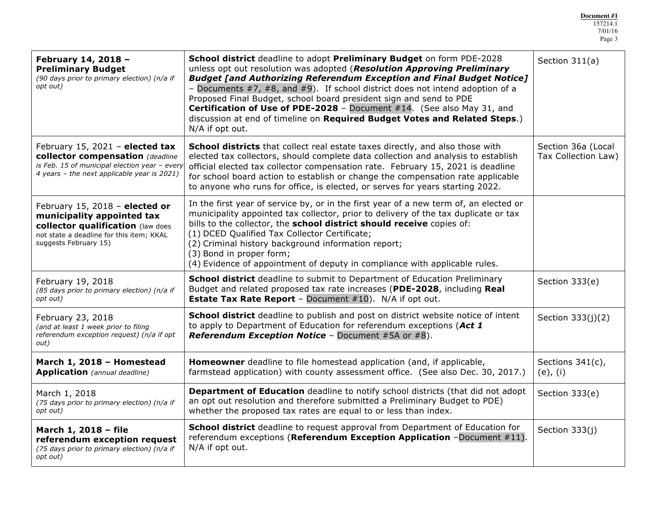| February 14, 2018 -<br><b>Preliminary Budget</b><br>(90 days prior to primary election) (n/a if<br>opt out)                                                                                                                                                                                           | School district deadline to adopt Preliminary Budget on form PDE-2028<br>unless opt out resolution was adopted (Resolution Approving Preliminary<br><b>Budget [and Authorizing Referendum Exception and Final Budget Notice]</b><br>- Documents $#7, #8,$ and $#9$ ). If school district does not intend adoption of a<br>Proposed Final Budget, school board president sign and send to PDE<br>Certification of Use of PDE-2028 - Document #14. (See also May 31, and<br>discussion at end of timeline on Required Budget Votes and Related Steps.)<br>N/A if opt out. | Section 311(a)                            |
|-------------------------------------------------------------------------------------------------------------------------------------------------------------------------------------------------------------------------------------------------------------------------------------------------------|-------------------------------------------------------------------------------------------------------------------------------------------------------------------------------------------------------------------------------------------------------------------------------------------------------------------------------------------------------------------------------------------------------------------------------------------------------------------------------------------------------------------------------------------------------------------------|-------------------------------------------|
| February 15, 2021 - elected tax<br>collector compensation (deadline<br>is Feb. 15 of municipal election year - every<br>4 years - the next applicable year is 2021)                                                                                                                                   | School districts that collect real estate taxes directly, and also those with<br>elected tax collectors, should complete data collection and analysis to establish<br>official elected tax collector compensation rate. February 15, 2021 is deadline<br>for school board action to establish or change the compensation rate applicable<br>to anyone who runs for office, is elected, or serves for years starting 2022.                                                                                                                                               | Section 36a (Local<br>Tax Collection Law) |
| February 15, 2018 - elected or<br>municipality appointed tax<br>collector qualification (law does<br>not state a deadline for this item; KKAL<br>suggests February 15)                                                                                                                                | In the first year of service by, or in the first year of a new term of, an elected or<br>municipality appointed tax collector, prior to delivery of the tax duplicate or tax<br>bills to the collector, the school district should receive copies of:<br>(1) DCED Qualified Tax Collector Certificate;<br>(2) Criminal history background information report;<br>(3) Bond in proper form;<br>(4) Evidence of appointment of deputy in compliance with applicable rules.                                                                                                 |                                           |
| February 19, 2018<br>(85 days prior to primary election) (n/a if<br>opt out)                                                                                                                                                                                                                          | <b>School district</b> deadline to submit to Department of Education Preliminary<br>Budget and related proposed tax rate increases (PDE-2028, including Real<br><b>Estate Tax Rate Report - Document <math>#10</math>).</b> N/A if opt out.                                                                                                                                                                                                                                                                                                                             | Section 333(e)                            |
| February 23, 2018<br>(and at least 1 week prior to filing<br>referendum exception request) (n/a if opt<br>out)                                                                                                                                                                                        | School district deadline to publish and post on district website notice of intent<br>to apply to Department of Education for referendum exceptions (Act 1<br><b>Referendum Exception Notice - Document #5A or #8).</b>                                                                                                                                                                                                                                                                                                                                                  | Section 333(j)(2)                         |
| March 1, 2018 - Homestead<br><b>Application</b> (annual deadline)                                                                                                                                                                                                                                     | Homeowner deadline to file homestead application (and, if applicable,<br>farmstead application) with county assessment office. (See also Dec. 30, 2017.)                                                                                                                                                                                                                                                                                                                                                                                                                | Sections 341(c),<br>$(e)$ , $(i)$         |
| March 1, 2018<br>(75 days prior to primary election) (n/a if<br>opt out)                                                                                                                                                                                                                              | <b>Department of Education</b> deadline to notify school districts (that did not adopt<br>an opt out resolution and therefore submitted a Preliminary Budget to PDE)<br>whether the proposed tax rates are equal to or less than index.                                                                                                                                                                                                                                                                                                                                 | Section 333(e)                            |
| <b>School district</b> deadline to request approval from Department of Education for<br>March 1, 2018 - file<br>referendum exceptions (Referendum Exception Application -Document #11).<br>referendum exception request<br>N/A if opt out.<br>(75 days prior to primary election) (n/a if<br>opt out) |                                                                                                                                                                                                                                                                                                                                                                                                                                                                                                                                                                         | Section 333(j)                            |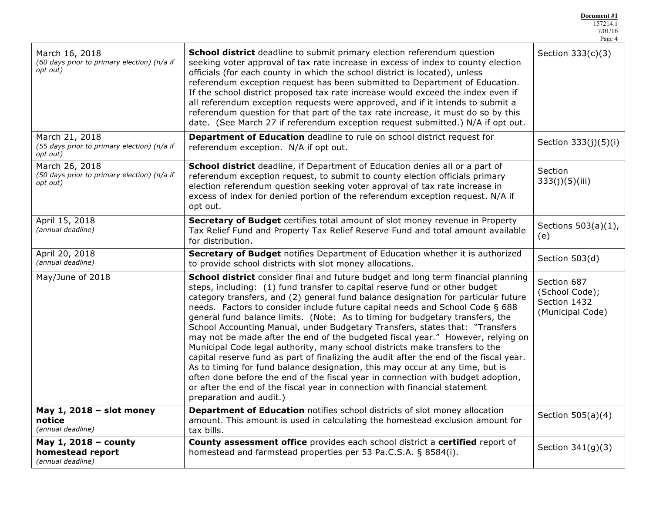|                                                                           |                                                                                                                                                                                                                                                                                                                                                                                                                                                                                                                                                                                                                                                                                                                                                                                                                                                                                                                                                                                                                                                    | 7/01/16<br>Page 4          |
|---------------------------------------------------------------------------|----------------------------------------------------------------------------------------------------------------------------------------------------------------------------------------------------------------------------------------------------------------------------------------------------------------------------------------------------------------------------------------------------------------------------------------------------------------------------------------------------------------------------------------------------------------------------------------------------------------------------------------------------------------------------------------------------------------------------------------------------------------------------------------------------------------------------------------------------------------------------------------------------------------------------------------------------------------------------------------------------------------------------------------------------|----------------------------|
| March 16, 2018<br>(60 days prior to primary election) (n/a if<br>opt out) | <b>School district</b> deadline to submit primary election referendum question<br>seeking voter approval of tax rate increase in excess of index to county election<br>officials (for each county in which the school district is located), unless<br>referendum exception request has been submitted to Department of Education.<br>If the school district proposed tax rate increase would exceed the index even if<br>all referendum exception requests were approved, and if it intends to submit a<br>referendum question for that part of the tax rate increase, it must do so by this<br>date. (See March 27 if referendum exception request submitted.) N/A if opt out.                                                                                                                                                                                                                                                                                                                                                                    | Section $333(c)(3)$        |
| March 21, 2018<br>(55 days prior to primary election) (n/a if<br>opt out) | Department of Education deadline to rule on school district request for<br>referendum exception. N/A if opt out.                                                                                                                                                                                                                                                                                                                                                                                                                                                                                                                                                                                                                                                                                                                                                                                                                                                                                                                                   | Section 333(j)(5)(i)       |
| March 26, 2018<br>(50 days prior to primary election) (n/a if<br>opt out) | School district deadline, if Department of Education denies all or a part of<br>referendum exception request, to submit to county election officials primary<br>election referendum question seeking voter approval of tax rate increase in<br>excess of index for denied portion of the referendum exception request. N/A if<br>opt out.                                                                                                                                                                                                                                                                                                                                                                                                                                                                                                                                                                                                                                                                                                          | Section<br>333(j)(5)(iii)  |
| April 15, 2018<br>(annual deadline)                                       | Secretary of Budget certifies total amount of slot money revenue in Property<br>Tax Relief Fund and Property Tax Relief Reserve Fund and total amount available<br>for distribution.                                                                                                                                                                                                                                                                                                                                                                                                                                                                                                                                                                                                                                                                                                                                                                                                                                                               | Sections 503(a)(1),<br>(e) |
| April 20, 2018<br>(annual deadline)                                       | Secretary of Budget notifies Department of Education whether it is authorized<br>to provide school districts with slot money allocations.                                                                                                                                                                                                                                                                                                                                                                                                                                                                                                                                                                                                                                                                                                                                                                                                                                                                                                          | Section 503(d)             |
| May/June of 2018                                                          | School district consider final and future budget and long term financial planning<br>steps, including: (1) fund transfer to capital reserve fund or other budget<br>category transfers, and (2) general fund balance designation for particular future<br>needs. Factors to consider include future capital needs and School Code § 688<br>general fund balance limits. (Note: As to timing for budgetary transfers, the<br>School Accounting Manual, under Budgetary Transfers, states that: "Transfers<br>may not be made after the end of the budgeted fiscal year." However, relying on<br>Municipal Code legal authority, many school districts make transfers to the<br>capital reserve fund as part of finalizing the audit after the end of the fiscal year.<br>As to timing for fund balance designation, this may occur at any time, but is<br>often done before the end of the fiscal year in connection with budget adoption,<br>or after the end of the fiscal year in connection with financial statement<br>preparation and audit.) |                            |
| May $1, 2018$ – slot money<br>notice<br>(annual deadline)                 | <b>Department of Education notifies school districts of slot money allocation</b><br>amount. This amount is used in calculating the homestead exclusion amount for<br>tax bills.                                                                                                                                                                                                                                                                                                                                                                                                                                                                                                                                                                                                                                                                                                                                                                                                                                                                   | Section $505(a)(4)$        |
| May $1, 2018$ – county<br>homestead report<br>(annual deadline)           | County assessment office provides each school district a certified report of<br>homestead and farmstead properties per 53 Pa.C.S.A. § 8584(i).                                                                                                                                                                                                                                                                                                                                                                                                                                                                                                                                                                                                                                                                                                                                                                                                                                                                                                     | Section $341(g)(3)$        |

**Document #1** 157214.1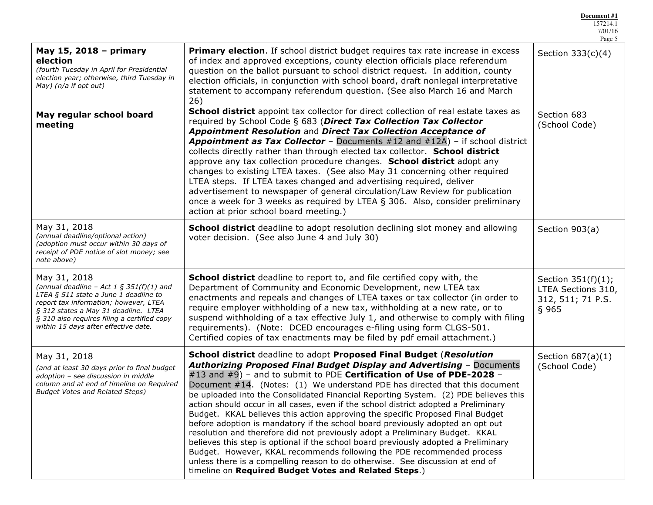|                                                                                                                                                                                                                                                                             |                                                                                                                                                                                                                                                                                                                                                                                                                                                                                                                                                                                                                                                                                                                                                                                                                                                                                                                                                                                                                                                   | 7/01/16<br>Page 5                                                         |
|-----------------------------------------------------------------------------------------------------------------------------------------------------------------------------------------------------------------------------------------------------------------------------|---------------------------------------------------------------------------------------------------------------------------------------------------------------------------------------------------------------------------------------------------------------------------------------------------------------------------------------------------------------------------------------------------------------------------------------------------------------------------------------------------------------------------------------------------------------------------------------------------------------------------------------------------------------------------------------------------------------------------------------------------------------------------------------------------------------------------------------------------------------------------------------------------------------------------------------------------------------------------------------------------------------------------------------------------|---------------------------------------------------------------------------|
| May 15, 2018 - primary<br>election<br>(fourth Tuesday in April for Presidential<br>election year; otherwise, third Tuesday in<br>May) (n/a if opt out)                                                                                                                      | <b>Primary election.</b> If school district budget requires tax rate increase in excess<br>of index and approved exceptions, county election officials place referendum<br>question on the ballot pursuant to school district request. In addition, county<br>election officials, in conjunction with school board, draft nonlegal interpretative<br>statement to accompany referendum question. (See also March 16 and March<br>26)                                                                                                                                                                                                                                                                                                                                                                                                                                                                                                                                                                                                              | Section $333(c)(4)$                                                       |
| May regular school board<br>meeting                                                                                                                                                                                                                                         | School district appoint tax collector for direct collection of real estate taxes as<br>required by School Code § 683 (Direct Tax Collection Tax Collector<br>Appointment Resolution and Direct Tax Collection Acceptance of<br>Appointment as Tax Collector - Documents #12 and #12A) - if school district<br>collects directly rather than through elected tax collector. School district<br>approve any tax collection procedure changes. School district adopt any<br>changes to existing LTEA taxes. (See also May 31 concerning other required<br>LTEA steps. If LTEA taxes changed and advertising required, deliver<br>advertisement to newspaper of general circulation/Law Review for publication<br>once a week for 3 weeks as required by LTEA § 306. Also, consider preliminary<br>action at prior school board meeting.)                                                                                                                                                                                                             | Section 683<br>(School Code)                                              |
| May 31, 2018<br>(annual deadline/optional action)<br>(adoption must occur within 30 days of<br>receipt of PDE notice of slot money; see<br>note above)                                                                                                                      | <b>School district</b> deadline to adopt resolution declining slot money and allowing<br>voter decision. (See also June 4 and July 30)                                                                                                                                                                                                                                                                                                                                                                                                                                                                                                                                                                                                                                                                                                                                                                                                                                                                                                            | Section 903(a)                                                            |
| May 31, 2018<br>(annual deadline - Act 1 § 351(f)(1) and<br>LTEA $§$ 511 state a June 1 deadline to<br>report tax information; however, LTEA<br>§ 312 states a May 31 deadline. LTEA<br>§ 310 also requires filing a certified copy<br>within 15 days after effective date. | School district deadline to report to, and file certified copy with, the<br>Department of Community and Economic Development, new LTEA tax<br>enactments and repeals and changes of LTEA taxes or tax collector (in order to<br>require employer withholding of a new tax, withholding at a new rate, or to<br>suspend withholding of a tax effective July 1, and otherwise to comply with filing<br>requirements). (Note: DCED encourages e-filing using form CLGS-501.<br>Certified copies of tax enactments may be filed by pdf email attachment.)                                                                                                                                                                                                                                                                                                                                                                                                                                                                                             | Section $351(f)(1)$ ;<br>LTEA Sections 310,<br>312, 511; 71 P.S.<br>§ 965 |
| May 31, 2018<br>(and at least 30 days prior to final budget<br>adoption - see discussion in middle<br>column and at end of timeline on Required<br><b>Budget Votes and Related Steps)</b>                                                                                   | School district deadline to adopt Proposed Final Budget (Resolution<br>Authorizing Proposed Final Budget Display and Advertising - Documents<br>#13 and #9) - and to submit to PDE Certification of Use of PDE-2028 -<br>Document #14. (Notes: (1) We understand PDE has directed that this document<br>be uploaded into the Consolidated Financial Reporting System. (2) PDE believes this<br>action should occur in all cases, even if the school district adopted a Preliminary<br>Budget. KKAL believes this action approving the specific Proposed Final Budget<br>before adoption is mandatory if the school board previously adopted an opt out<br>resolution and therefore did not previously adopt a Preliminary Budget. KKAL<br>believes this step is optional if the school board previously adopted a Preliminary<br>Budget. However, KKAL recommends following the PDE recommended process<br>unless there is a compelling reason to do otherwise. See discussion at end of<br>timeline on Required Budget Votes and Related Steps.) | Section $687(a)(1)$<br>(School Code)                                      |

**Document #1** 157214.1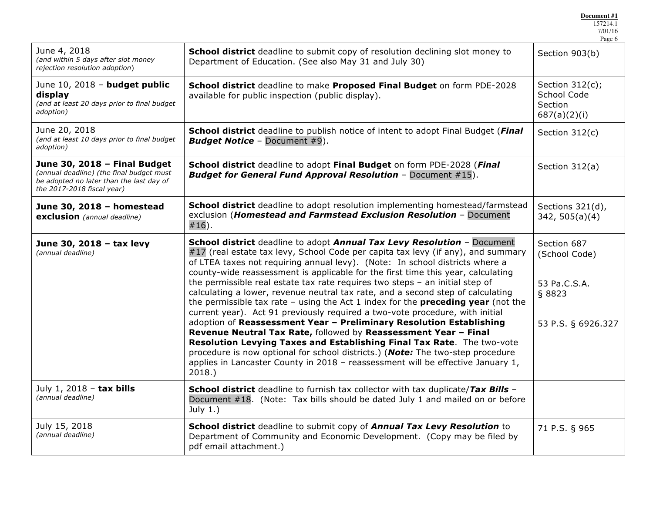| June 4, 2018<br>(and within 5 days after slot money<br>rejection resolution adoption)                                                                                                                               | School district deadline to submit copy of resolution declining slot money to<br>Department of Education. (See also May 31 and July 30)                                                                                                                                                                                                                                                                                                                                                                                                                                                                                                                                                                                                                                                                                                                                                                                                                                                                                                                                           | Section 903(b)                                                               |
|---------------------------------------------------------------------------------------------------------------------------------------------------------------------------------------------------------------------|-----------------------------------------------------------------------------------------------------------------------------------------------------------------------------------------------------------------------------------------------------------------------------------------------------------------------------------------------------------------------------------------------------------------------------------------------------------------------------------------------------------------------------------------------------------------------------------------------------------------------------------------------------------------------------------------------------------------------------------------------------------------------------------------------------------------------------------------------------------------------------------------------------------------------------------------------------------------------------------------------------------------------------------------------------------------------------------|------------------------------------------------------------------------------|
| June 10, 2018 - budget public<br>display<br>(and at least 20 days prior to final budget<br>adoption)                                                                                                                | School district deadline to make Proposed Final Budget on form PDE-2028<br>available for public inspection (public display).                                                                                                                                                                                                                                                                                                                                                                                                                                                                                                                                                                                                                                                                                                                                                                                                                                                                                                                                                      | Section $312(c)$ ;<br>School Code<br>Section<br>687(a)(2)(i)                 |
| June 20, 2018<br>(and at least 10 days prior to final budget<br>adoption)                                                                                                                                           | <b>School district</b> deadline to publish notice of intent to adopt Final Budget (Final<br><b>Budget Notice - Document #9).</b>                                                                                                                                                                                                                                                                                                                                                                                                                                                                                                                                                                                                                                                                                                                                                                                                                                                                                                                                                  | Section 312(c)                                                               |
| June 30, 2018 - Final Budget<br>(annual deadline) (the final budget must<br>be adopted no later than the last day of<br>the 2017-2018 fiscal year)                                                                  | School district deadline to adopt Final Budget on form PDE-2028 (Final<br><b>Budget for General Fund Approval Resolution - Document #15).</b>                                                                                                                                                                                                                                                                                                                                                                                                                                                                                                                                                                                                                                                                                                                                                                                                                                                                                                                                     | Section 312(a)                                                               |
| June 30, 2018 - homestead<br>exclusion (annual deadline)                                                                                                                                                            | School district deadline to adopt resolution implementing homestead/farmstead<br>exclusion (Homestead and Farmstead Exclusion Resolution - Document<br>$#16$ ).                                                                                                                                                                                                                                                                                                                                                                                                                                                                                                                                                                                                                                                                                                                                                                                                                                                                                                                   | Sections 321(d),<br>342, 505(a)(4)                                           |
| June 30, 2018 - tax levy<br>(annual deadline)                                                                                                                                                                       | School district deadline to adopt Annual Tax Levy Resolution - Document<br>#17 (real estate tax levy, School Code per capita tax levy (if any), and summary<br>of LTEA taxes not requiring annual levy). (Note: In school districts where a<br>county-wide reassessment is applicable for the first time this year, calculating<br>the permissible real estate tax rate requires two steps - an initial step of<br>calculating a lower, revenue neutral tax rate, and a second step of calculating<br>the permissible tax rate $-$ using the Act 1 index for the <b>preceding year</b> (not the<br>current year). Act 91 previously required a two-vote procedure, with initial<br>adoption of Reassessment Year - Preliminary Resolution Establishing<br>Revenue Neutral Tax Rate, followed by Reassessment Year - Final<br>Resolution Levying Taxes and Establishing Final Tax Rate. The two-vote<br>procedure is now optional for school districts.) (Note: The two-step procedure<br>applies in Lancaster County in 2018 - reassessment will be effective January 1,<br>2018. | Section 687<br>(School Code)<br>53 Pa.C.S.A.<br>§ 8823<br>53 P.S. § 6926.327 |
| July 1, 2018 - tax bills<br>(annual deadline)                                                                                                                                                                       | School district deadline to furnish tax collector with tax duplicate/Tax Bills -<br>Document #18. (Note: Tax bills should be dated July 1 and mailed on or before<br>July $1.$ )                                                                                                                                                                                                                                                                                                                                                                                                                                                                                                                                                                                                                                                                                                                                                                                                                                                                                                  |                                                                              |
| July 15, 2018<br>School district deadline to submit copy of Annual Tax Levy Resolution to<br>(annual deadline)<br>Department of Community and Economic Development. (Copy may be filed by<br>pdf email attachment.) |                                                                                                                                                                                                                                                                                                                                                                                                                                                                                                                                                                                                                                                                                                                                                                                                                                                                                                                                                                                                                                                                                   | 71 P.S. § 965                                                                |

157214.1 7/01/16 Page 6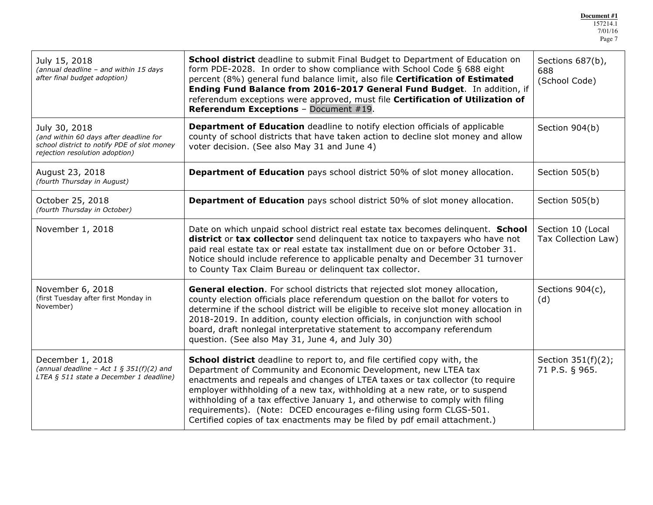| July 15, 2018<br>(annual deadline - and within 15 days<br>after final budget adoption)                                                                                                                                                                                                                                                                                                                                                                                                                                                                                                                                                                            | School district deadline to submit Final Budget to Department of Education on<br>form PDE-2028. In order to show compliance with School Code § 688 eight<br>percent (8%) general fund balance limit, also file Certification of Estimated<br>Ending Fund Balance from 2016-2017 General Fund Budget. In addition, if<br>referendum exceptions were approved, must file Certification of Utilization of<br>Referendum Exceptions - Document #19.                        | Sections 687(b),<br>688<br>(School Code) |
|-------------------------------------------------------------------------------------------------------------------------------------------------------------------------------------------------------------------------------------------------------------------------------------------------------------------------------------------------------------------------------------------------------------------------------------------------------------------------------------------------------------------------------------------------------------------------------------------------------------------------------------------------------------------|------------------------------------------------------------------------------------------------------------------------------------------------------------------------------------------------------------------------------------------------------------------------------------------------------------------------------------------------------------------------------------------------------------------------------------------------------------------------|------------------------------------------|
| July 30, 2018<br>(and within 60 days after deadline for<br>school district to notify PDE of slot money<br>rejection resolution adoption)                                                                                                                                                                                                                                                                                                                                                                                                                                                                                                                          | <b>Department of Education</b> deadline to notify election officials of applicable<br>county of school districts that have taken action to decline slot money and allow<br>voter decision. (See also May 31 and June 4)                                                                                                                                                                                                                                                | Section 904(b)                           |
| August 23, 2018<br>(fourth Thursday in August)                                                                                                                                                                                                                                                                                                                                                                                                                                                                                                                                                                                                                    | <b>Department of Education</b> pays school district 50% of slot money allocation.                                                                                                                                                                                                                                                                                                                                                                                      | Section 505(b)                           |
| October 25, 2018<br>(fourth Thursday in October)                                                                                                                                                                                                                                                                                                                                                                                                                                                                                                                                                                                                                  | <b>Department of Education</b> pays school district 50% of slot money allocation.                                                                                                                                                                                                                                                                                                                                                                                      | Section 505(b)                           |
| November 1, 2018                                                                                                                                                                                                                                                                                                                                                                                                                                                                                                                                                                                                                                                  | Date on which unpaid school district real estate tax becomes delinquent. School<br>district or tax collector send delinquent tax notice to taxpayers who have not<br>paid real estate tax or real estate tax installment due on or before October 31.<br>Notice should include reference to applicable penalty and December 31 turnover<br>to County Tax Claim Bureau or delinquent tax collector.                                                                     | Section 10 (Local<br>Tax Collection Law) |
| November 6, 2018<br>(first Tuesday after first Monday in<br>November)                                                                                                                                                                                                                                                                                                                                                                                                                                                                                                                                                                                             | General election. For school districts that rejected slot money allocation,<br>county election officials place referendum question on the ballot for voters to<br>determine if the school district will be eligible to receive slot money allocation in<br>2018-2019. In addition, county election officials, in conjunction with school<br>board, draft nonlegal interpretative statement to accompany referendum<br>question. (See also May 31, June 4, and July 30) |                                          |
| <b>School district</b> deadline to report to, and file certified copy with, the<br>December 1, 2018<br>(annual deadline - Act 1 § 351(f)(2) and<br>Department of Community and Economic Development, new LTEA tax<br>LTEA § 511 state a December 1 deadline)<br>enactments and repeals and changes of LTEA taxes or tax collector (to require<br>employer withholding of a new tax, withholding at a new rate, or to suspend<br>withholding of a tax effective January 1, and otherwise to comply with filing<br>requirements). (Note: DCED encourages e-filing using form CLGS-501.<br>Certified copies of tax enactments may be filed by pdf email attachment.) |                                                                                                                                                                                                                                                                                                                                                                                                                                                                        | Section 351(f)(2);<br>71 P.S. § 965.     |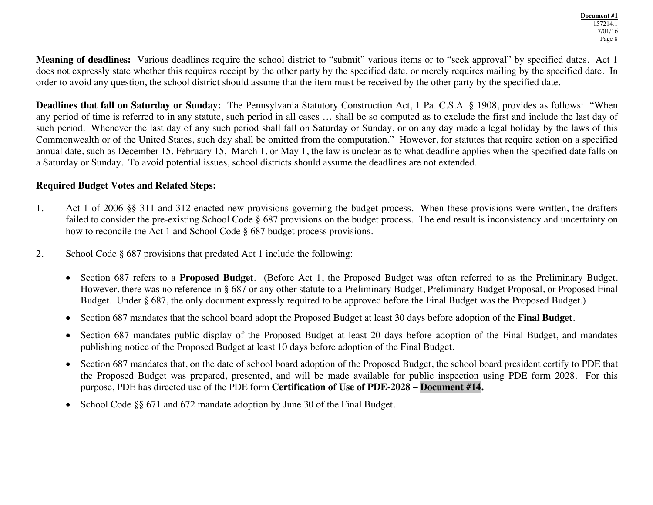**Meaning of deadlines:** Various deadlines require the school district to "submit" various items or to "seek approval" by specified dates. Act 1 does not expressly state whether this requires receipt by the other party by the specified date, or merely requires mailing by the specified date. In order to avoid any question, the school district should assume that the item must be received by the other party by the specified date.

**Deadlines that fall on Saturday or Sunday:** The Pennsylvania Statutory Construction Act, 1 Pa. C.S.A. § 1908, provides as follows: "When any period of time is referred to in any statute, such period in all cases … shall be so computed as to exclude the first and include the last day of such period. Whenever the last day of any such period shall fall on Saturday or Sunday, or on any day made a legal holiday by the laws of this Commonwealth or of the United States, such day shall be omitted from the computation." However, for statutes that require action on a specified annual date, such as December 15, February 15, March 1, or May 1, the law is unclear as to what deadline applies when the specified date falls on a Saturday or Sunday. To avoid potential issues, school districts should assume the deadlines are not extended.

### **Required Budget Votes and Related Steps:**

- 1. Act 1 of 2006 §§ 311 and 312 enacted new provisions governing the budget process. When these provisions were written, the drafters failed to consider the pre-existing School Code § 687 provisions on the budget process. The end result is inconsistency and uncertainty on how to reconcile the Act 1 and School Code § 687 budget process provisions.
- 2. School Code § 687 provisions that predated Act 1 include the following:
	- Section 687 refers to a **Proposed Budget**. (Before Act 1, the Proposed Budget was often referred to as the Preliminary Budget. However, there was no reference in § 687 or any other statute to a Preliminary Budget, Preliminary Budget Proposal, or Proposed Final Budget. Under § 687, the only document expressly required to be approved before the Final Budget was the Proposed Budget.)
	- Section 687 mandates that the school board adopt the Proposed Budget at least 30 days before adoption of the **Final Budget**.
	- Section 687 mandates public display of the Proposed Budget at least 20 days before adoption of the Final Budget, and mandates publishing notice of the Proposed Budget at least 10 days before adoption of the Final Budget.
	- Section 687 mandates that, on the date of school board adoption of the Proposed Budget, the school board president certify to PDE that the Proposed Budget was prepared, presented, and will be made available for public inspection using PDE form 2028. For this purpose, PDE has directed use of the PDE form **Certification of Use of PDE-2028 – Document #14.**
	- School Code §§ 671 and 672 mandate adoption by June 30 of the Final Budget.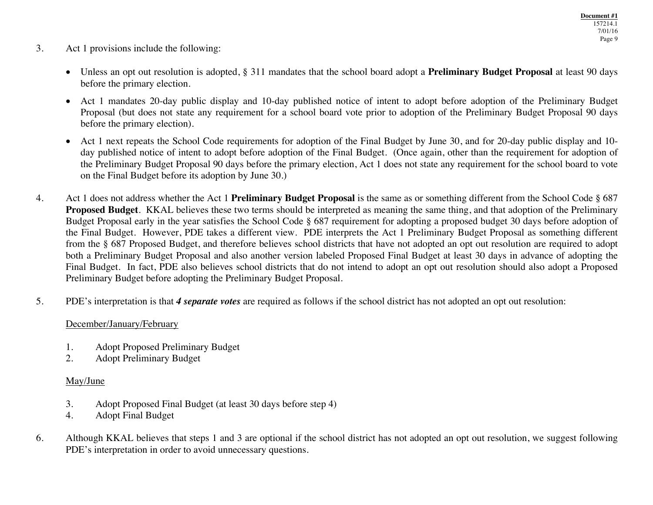- 3. Act 1 provisions include the following:
	- Unless an opt out resolution is adopted, § 311 mandates that the school board adopt a **Preliminary Budget Proposal** at least 90 days before the primary election.
	- Act 1 mandates 20-day public display and 10-day published notice of intent to adopt before adoption of the Preliminary Budget Proposal (but does not state any requirement for a school board vote prior to adoption of the Preliminary Budget Proposal 90 days before the primary election).
	- Act 1 next repeats the School Code requirements for adoption of the Final Budget by June 30, and for 20-day public display and 10day published notice of intent to adopt before adoption of the Final Budget. (Once again, other than the requirement for adoption of the Preliminary Budget Proposal 90 days before the primary election, Act 1 does not state any requirement for the school board to vote on the Final Budget before its adoption by June 30.)
- 4. Act 1 does not address whether the Act 1 **Preliminary Budget Proposal** is the same as or something different from the School Code § 687 **Proposed Budget**. KKAL believes these two terms should be interpreted as meaning the same thing, and that adoption of the Preliminary Budget Proposal early in the year satisfies the School Code § 687 requirement for adopting a proposed budget 30 days before adoption of the Final Budget. However, PDE takes a different view. PDE interprets the Act 1 Preliminary Budget Proposal as something different from the § 687 Proposed Budget, and therefore believes school districts that have not adopted an opt out resolution are required to adopt both a Preliminary Budget Proposal and also another version labeled Proposed Final Budget at least 30 days in advance of adopting the Final Budget. In fact, PDE also believes school districts that do not intend to adopt an opt out resolution should also adopt a Proposed Preliminary Budget before adopting the Preliminary Budget Proposal.
- 5. PDE's interpretation is that *4 separate votes* are required as follows if the school district has not adopted an opt out resolution:

## December/January/February

- 1. Adopt Proposed Preliminary Budget<br>2. Adopt Preliminary Budget
- 2. Adopt Preliminary Budget

## May/June

- 3. Adopt Proposed Final Budget (at least 30 days before step 4)
- 4. Adopt Final Budget
- 6. Although KKAL believes that steps 1 and 3 are optional if the school district has not adopted an opt out resolution, we suggest following PDE's interpretation in order to avoid unnecessary questions.